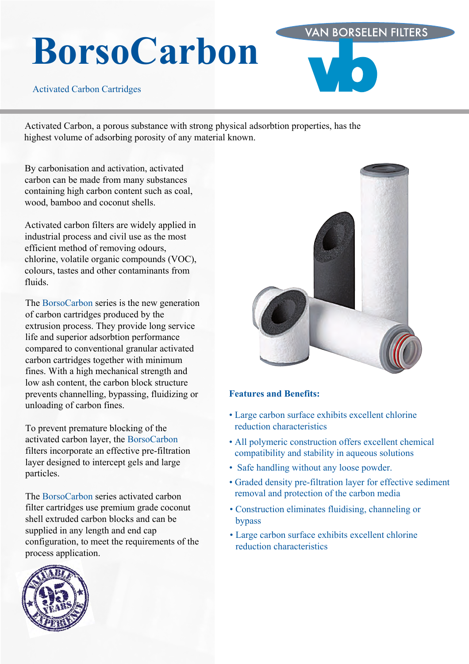# **BorsoCarbon**

Activated Carbon Cartridges

Activated Carbon, a porous substance with strong physical adsorbtion properties, has the highest volume of adsorbing porosity of any material known.

By carbonisation and activation, activated carbon can be made from many substances containing high carbon content such as coal, wood, bamboo and coconut shells.

Activated carbon filters are widely applied in industrial process and civil use as the most efficient method of removing odours, chlorine, volatile organic compounds (VOC), colours, tastes and other contaminants from fluids.

The BorsoCarbon series is the new generation of carbon cartridges produced by the extrusion process. They provide long service life and superior adsorbtion performance compared to conventional granular activated carbon cartridges together with minimum fines. With a high mechanical strength and low ash content, the carbon block structure prevents channelling, bypassing, fluidizing or unloading of carbon fines.

To prevent premature blocking of the activated carbon layer, the BorsoCarbon filters incorporate an effective pre-filtration layer designed to intercept gels and large particles.

The BorsoCarbon series activated carbon filter cartridges use premium grade coconut shell extruded carbon blocks and can be supplied in any length and end cap configuration, to meet the requirements of the process application.



**VAN BORSELEN FILTERS** 

#### **Features and Benefits:**

- Large carbon surface exhibits excellent chlorine reduction characteristics
- All polymeric construction offers excellent chemical compatibility and stability in aqueous solutions
- Safe handling without any loose powder.
- Graded density pre-filtration layer for effective sediment removal and protection of the carbon media
- Construction eliminates fluidising, channeling or bypass
- Large carbon surface exhibits excellent chlorine reduction characteristics

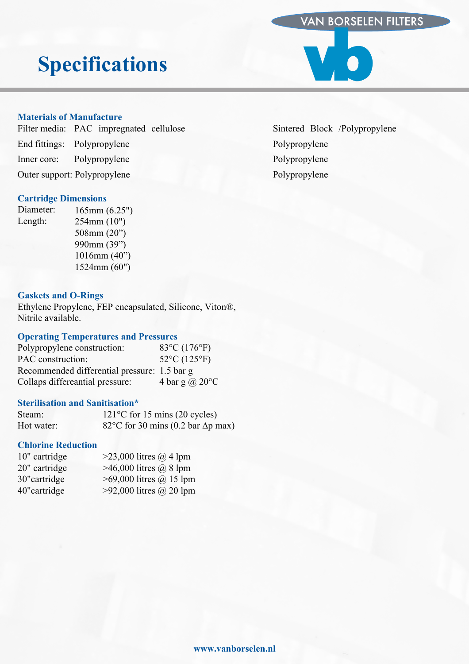### VAN BORSELEN FILTERS

# **Specifications**

#### **Materials of Manufacture**

| Filter media: PAC impregnated cellulose |  |
|-----------------------------------------|--|
| End fittings: Polypropylene             |  |
| Inner core: Polypropylene               |  |
| Outer support: Polypropylene            |  |
|                                         |  |

#### **Cartridge Dimensions**

Diameter: Length: 165mm (6.25") 254mm (10") 508mm (20") 990mm (39") 1016mm (40") 1524mm (60")

#### **Gaskets and O-Rings**

Ethylene Propylene, FEP encapsulated, Silicone, Viton®, Nitrile available.

#### **Operating Temperatures and Pressures**

| Polypropylene construction:                  | $83^{\circ}C(176^{\circ}F)$ |
|----------------------------------------------|-----------------------------|
| PAC construction:                            | $52^{\circ}C(125^{\circ}F)$ |
| Recommended differential pressure: 1.5 bar g |                             |
| Collaps differeantial pressure:              | 4 bar g $\omega$ 20 °C      |

#### **Sterilisation and Sanitisation\***

| Steam:     | $121^{\circ}$ C for 15 mins (20 cycles)   |
|------------|-------------------------------------------|
| Hot water: | 82°C for 30 mins (0.2 bar $\Delta p$ max) |

#### **Chlorine Reduction**

| 10" cartridge | $>$ 23,000 litres @ 4 lpm       |
|---------------|---------------------------------|
| 20" cartridge | $>46,000$ litres $\omega$ 8 lpm |
| 30" cartridge | $>69,000$ litres $@$ 15 lpm     |
| 40" cartridge | $>92,000$ litres @ 20 lpm       |

Sintered Block /Polypropylene Polypropylene Polypropylene Polypropylene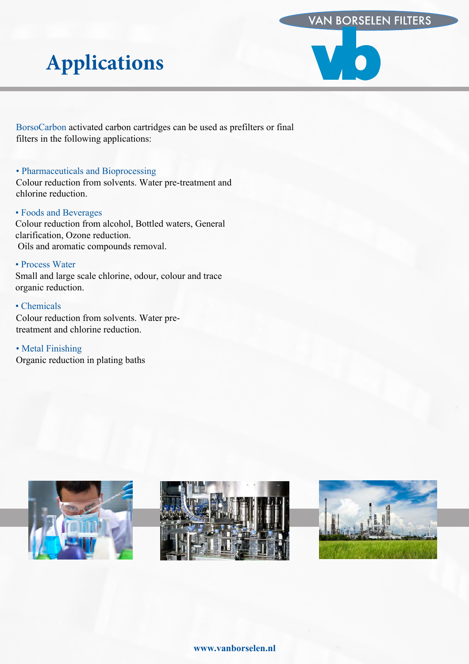### VAN BORSELEN FILTERS

# **Applications**

BorsoCarbon activated carbon cartridges can be used as prefilters or final filters in the following applications:

#### • Pharmaceuticals and Bioprocessing

Colour reduction from solvents. Water pre-treatment and chlorine reduction.

#### • Foods and Beverages

Colour reduction from alcohol, Bottled waters, General clarification, Ozone reduction. Oils and aromatic compounds removal.

#### • Process Water

Small and large scale chlorine, odour, colour and trace organic reduction.

#### • Chemicals

Colour reduction from solvents. Water pretreatment and chlorine reduction.

• Metal Finishing Organic reduction in plating baths







#### **www.vanborselen.nl**